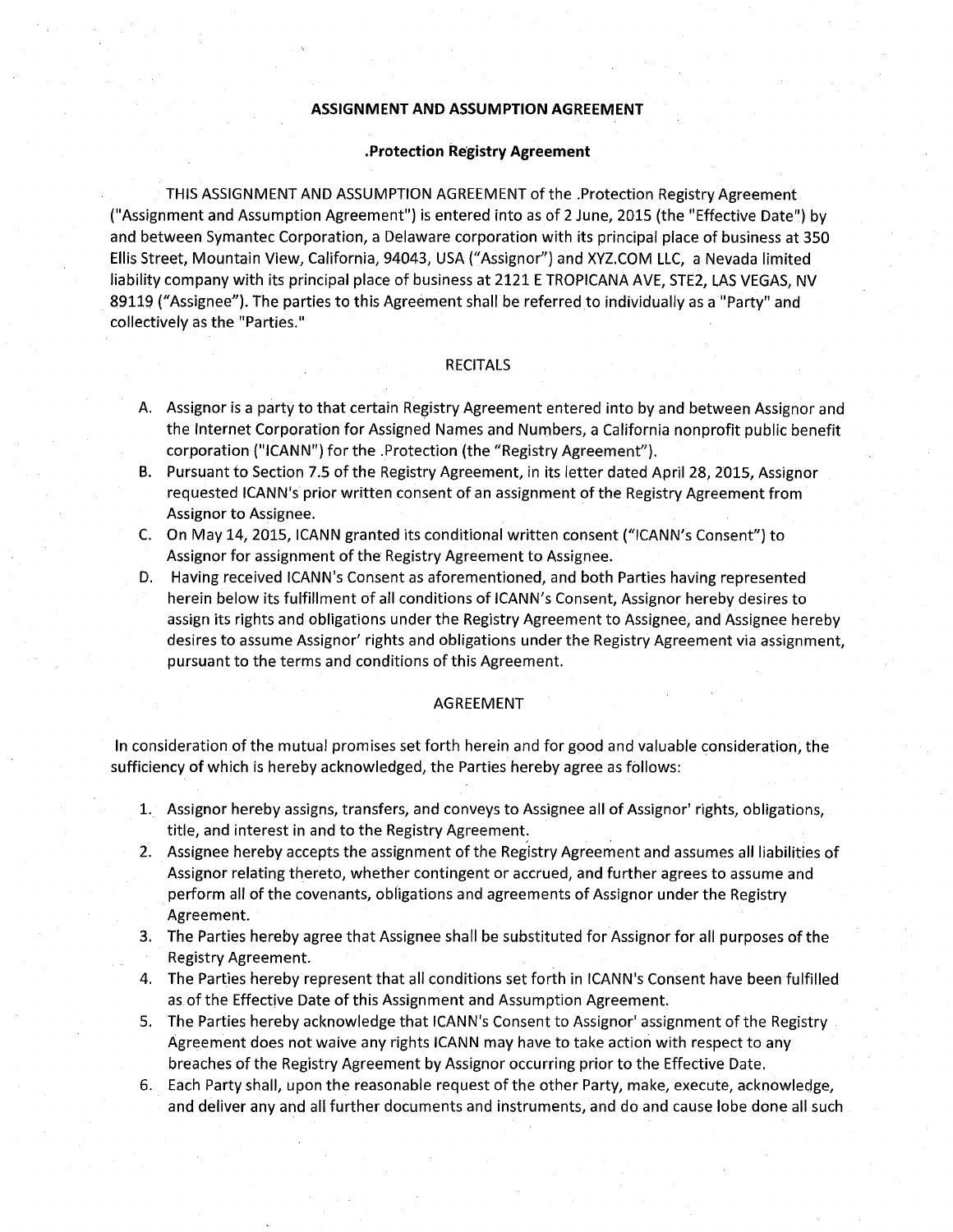## **ASSIGNMENT AND ASSUMPTION AGREEMENT**

### **.Protection Registry Agreement**

THIS ASSIGNMENT AND ASSUMPTION AGREEMENT of the .Protection Registry Agreement ("Assignment and Assumption Agreement") is entered into as of 2 June, 2015 (the "Effective Date") by and between Symantec Corporation, a Delaware corporation with its principal place of business at 350 Ellis Street, Mountain View, California, 94043, USA ("Assignor") and XVZ.COM LLC, a Nevada limited liability company with its principal place of business at 2121 E TROPICANA AVE, STE2, LAS VEGAS, NV 89119 ("Assignee"). The parties to this Agreement shall be referred to individually as a "Party" and collectively as the "Parties."

## RECITALS

- A. Assignor is a party to that certain Registry Agreement entered into by and between Assignor and the Internet Corporation for Assigned Names and Numbers, a California nonprofit public benefit corporation (''ICANN") for the .Protection (the "Registry Agreement").
- B. Pursuant to Section 7.5 of the Registry Agreement, in its letter dated April 28, 2015, Assignor requested ICANN's prior written consent of an assignment of the Registry Agreement from Assignor to Assignee.
- C. On May 14, 2015, ICANN granted its conditional written consent ("ICANN's Consent") to Assignor for assignment of the Registry Agreement to Assignee.
- D. Having received ICANN's Consent as aforementioned, and both Parties having represented herein below its fulfillment of all conditions of ICANN's Consent, Assignor hereby desires to assign its rights and obligations under the Registry Agreement to Assignee, and Assignee hereby desires to assume Assignor' rights and obligations under the Registry Agreement via assignment, pursuant to the terms and conditions of this Agreement.

#### AGREEMENT

In consideration of the mutual promises set forth herein and for good and valuable consideration, the sufficiency of which is hereby acknowledged, the Parties hereby agree as follows:

- 1. Assignor hereby assigns, transfers, and conveys to Assignee all of Assignor' rights, obligations, title, and interest in and to the Registry Agreement:
- 2. Assignee hereby accepts the assignment of the Registry Agreement and assumes all liabilities of Assignor relating thereto, whether contingent or accrued, and further agrees to assume and perform all of the covenants, obligations and agreements of Assignor under the Registry Agreement.
- 3. The Parties hereby agree that Assignee shall be substituted for Assignor for all purposes of the Registry Agreement.
- 4. The Parties hereby represent that all conditions set forth in ICANN's Consent have been fulfilled as of the Effective Date of this Assignment and Assumption Agreement.
- 5. The Parties hereby acknowledge that ICANN's Consent to Assignor' assignment of the Registry Agreement does not waive any rights ICANN may have to take action with respect to any breaches of the Registry Agreement by Assignor occurring prior to the Effective Date.
- 6. Each Party shall, upon the reasonable request of the other Party, make, execute, acknowledge, and deliver any and all further documents and instruments, and do and cause lobe done all such